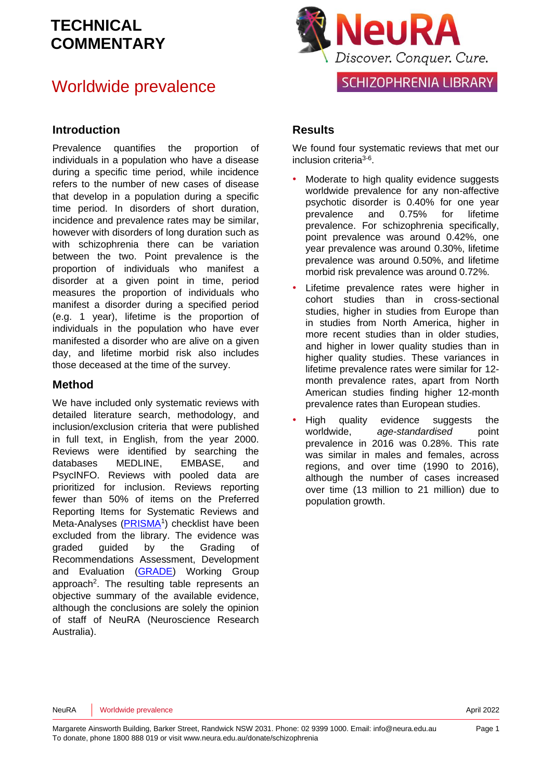#### Worldwide prevalence

#### **Introduction**

Prevalence quantifies the proportion of individuals in a population who have a disease during a specific time period, while incidence refers to the number of new cases of disease that develop in a population during a specific time period. In disorders of short duration, incidence and prevalence rates may be similar, however with disorders of long duration such as with schizophrenia there can be variation between the two. Point prevalence is the proportion of individuals who manifest a disorder at a given point in time, period measures the proportion of individuals who manifest a disorder during a specified period (e.g. 1 year), lifetime is the proportion of individuals in the population who have ever manifested a disorder who are alive on a given day, and lifetime morbid risk also includes those deceased at the time of the survey.

#### **Method**

We have included only systematic reviews with detailed literature search, methodology, and inclusion/exclusion criteria that were published in full text, in English, from the year 2000. Reviews were identified by searching the databases MEDLINE, EMBASE, and PsycINFO. Reviews with pooled data are prioritized for inclusion. Reviews reporting fewer than 50% of items on the Preferred Reporting Items for Systematic Reviews and Meta-Analyses [\(PRISMA](http://www.prisma-statement.org/)<sup>[1](#page-8-0)</sup>) checklist have been excluded from the library. The evidence was graded guided by the Grading of Recommendations Assessment, Development and Evaluation [\(GRADE\)](http://www.gradeworkinggroup.org/) Working Group approach<sup>2</sup>[.](#page-8-1) The resulting table represents an objective summary of the available evidence, although the conclusions are solely the opinion of staff of NeuRA (Neuroscience Research Australia).



#### **Results**

We found four systematic reviews that met our inclusion criteria<sup>[3-6](#page-8-2)</sup>.

- Moderate to high quality evidence suggests worldwide prevalence for any non-affective psychotic disorder is 0.40% for one year prevalence and 0.75% for lifetime prevalence. For schizophrenia specifically, point prevalence was around 0.42%, one year prevalence was around 0.30%, lifetime prevalence was around 0.50%, and lifetime morbid risk prevalence was around 0.72%.
- Lifetime prevalence rates were higher in cohort studies than in cross-sectional studies, higher in studies from Europe than in studies from North America, higher in more recent studies than in older studies, and higher in lower quality studies than in higher quality studies. These variances in lifetime prevalence rates were similar for 12 month prevalence rates, apart from North American studies finding higher 12-month prevalence rates than European studies.
- High quality evidence suggests the worldwide. age-standardised point prevalence in 2016 was 0.28%. This rate was similar in males and females, across regions, and over time (1990 to 2016), although the number of cases increased over time (13 million to 21 million) due to population growth.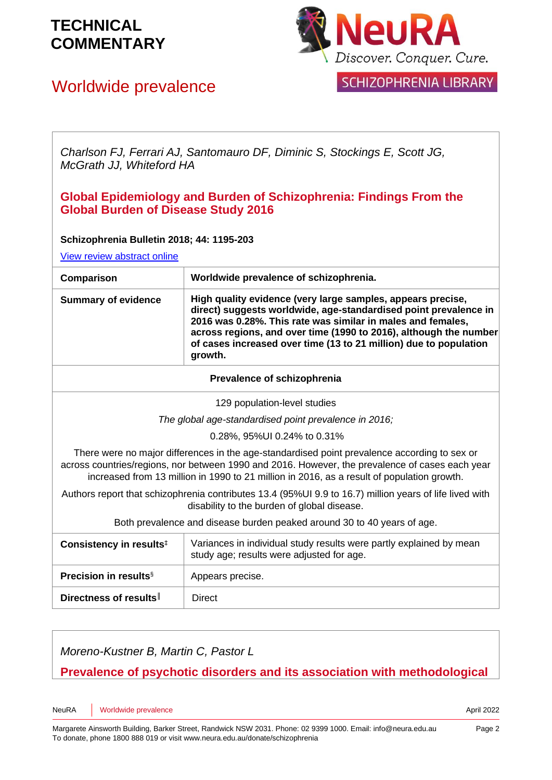## Worldwide prevalence



SCHIZOPHRENIA LIBRARY

*Charlson FJ, Ferrari AJ, Santomauro DF, Diminic S, Stockings E, Scott JG, McGrath JJ, Whiteford HA*

#### **Global Epidemiology and Burden of Schizophrenia: Findings From the Global Burden of Disease Study 2016**

#### **Schizophrenia Bulletin 2018; 44: 1195-203**

[View review abstract online](https://www.ncbi.nlm.nih.gov/pubmed/29762765) 

| Worldwide prevalence of schizophrenia.<br>Comparison                                                                                                                                                                                                                                          |                                                                                                                                                                                                                                                                                                                                                     |  |
|-----------------------------------------------------------------------------------------------------------------------------------------------------------------------------------------------------------------------------------------------------------------------------------------------|-----------------------------------------------------------------------------------------------------------------------------------------------------------------------------------------------------------------------------------------------------------------------------------------------------------------------------------------------------|--|
| <b>Summary of evidence</b>                                                                                                                                                                                                                                                                    | High quality evidence (very large samples, appears precise,<br>direct) suggests worldwide, age-standardised point prevalence in<br>2016 was 0.28%. This rate was similar in males and females,<br>across regions, and over time (1990 to 2016), although the number<br>of cases increased over time (13 to 21 million) due to population<br>growth. |  |
| Prevalence of schizophrenia                                                                                                                                                                                                                                                                   |                                                                                                                                                                                                                                                                                                                                                     |  |
| 129 population-level studies                                                                                                                                                                                                                                                                  |                                                                                                                                                                                                                                                                                                                                                     |  |
| The global age-standardised point prevalence in 2016;                                                                                                                                                                                                                                         |                                                                                                                                                                                                                                                                                                                                                     |  |
| 0.28%, 95%UI 0.24% to 0.31%                                                                                                                                                                                                                                                                   |                                                                                                                                                                                                                                                                                                                                                     |  |
| There were no major differences in the age-standardised point prevalence according to sex or<br>across countries/regions, nor between 1990 and 2016. However, the prevalence of cases each year<br>increased from 13 million in 1990 to 21 million in 2016, as a result of population growth. |                                                                                                                                                                                                                                                                                                                                                     |  |
| Authors report that schizophrenia contributes 13.4 (95%UI 9.9 to 16.7) million years of life lived with<br>disability to the burden of global disease.                                                                                                                                        |                                                                                                                                                                                                                                                                                                                                                     |  |
| Both prevalence and disease burden peaked around 30 to 40 years of age.                                                                                                                                                                                                                       |                                                                                                                                                                                                                                                                                                                                                     |  |
| Consistency in results <sup>‡</sup>                                                                                                                                                                                                                                                           | Variances in individual study results were partly explained by mean<br>study age; results were adjusted for age.                                                                                                                                                                                                                                    |  |
| <b>Precision in results</b> <sup>§</sup>                                                                                                                                                                                                                                                      | Appears precise.                                                                                                                                                                                                                                                                                                                                    |  |

*Moreno-Kustner B, Martin C, Pastor L*

**Directness of results** | Direct

**Prevalence of psychotic disorders and its association with methodological**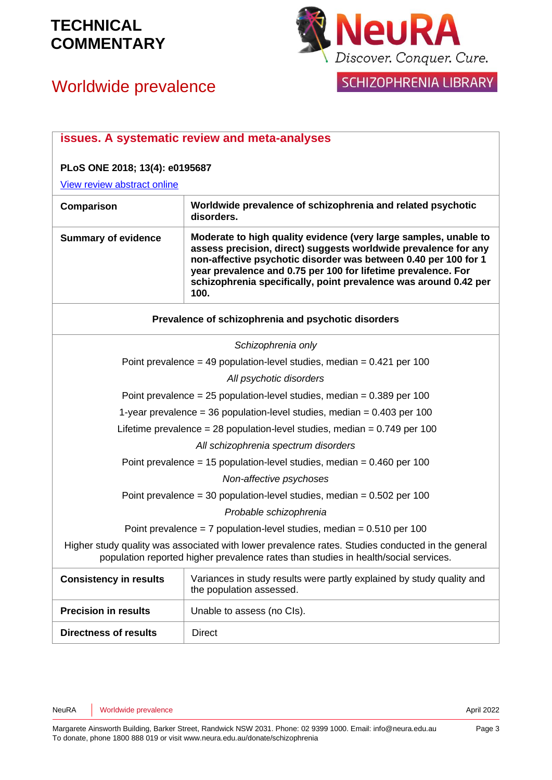

# Worldwide prevalence

|  |  | I SCHIZOPHRENIA LIBRARY |  |
|--|--|-------------------------|--|
|  |  |                         |  |

|                                                                                                                                                                                          | issues. A systematic review and meta-analyses                                                                                                                                                                                                                                                                                                       |  |
|------------------------------------------------------------------------------------------------------------------------------------------------------------------------------------------|-----------------------------------------------------------------------------------------------------------------------------------------------------------------------------------------------------------------------------------------------------------------------------------------------------------------------------------------------------|--|
| PLoS ONE 2018; 13(4): e0195687                                                                                                                                                           |                                                                                                                                                                                                                                                                                                                                                     |  |
| View review abstract online                                                                                                                                                              |                                                                                                                                                                                                                                                                                                                                                     |  |
| Comparison                                                                                                                                                                               | Worldwide prevalence of schizophrenia and related psychotic<br>disorders.                                                                                                                                                                                                                                                                           |  |
| <b>Summary of evidence</b>                                                                                                                                                               | Moderate to high quality evidence (very large samples, unable to<br>assess precision, direct) suggests worldwide prevalence for any<br>non-affective psychotic disorder was between 0.40 per 100 for 1<br>year prevalence and 0.75 per 100 for lifetime prevalence. For<br>schizophrenia specifically, point prevalence was around 0.42 per<br>100. |  |
| Prevalence of schizophrenia and psychotic disorders                                                                                                                                      |                                                                                                                                                                                                                                                                                                                                                     |  |
|                                                                                                                                                                                          | Schizophrenia only                                                                                                                                                                                                                                                                                                                                  |  |
| Point prevalence = 49 population-level studies, median = $0.421$ per 100                                                                                                                 |                                                                                                                                                                                                                                                                                                                                                     |  |
|                                                                                                                                                                                          | All psychotic disorders                                                                                                                                                                                                                                                                                                                             |  |
| Point prevalence = $25$ population-level studies, median = $0.389$ per 100                                                                                                               |                                                                                                                                                                                                                                                                                                                                                     |  |
| 1-year prevalence = 36 population-level studies, median = $0.403$ per 100                                                                                                                |                                                                                                                                                                                                                                                                                                                                                     |  |
| Lifetime prevalence = 28 population-level studies, median = $0.749$ per 100                                                                                                              |                                                                                                                                                                                                                                                                                                                                                     |  |
|                                                                                                                                                                                          | All schizophrenia spectrum disorders                                                                                                                                                                                                                                                                                                                |  |
| Point prevalence = 15 population-level studies, median = $0.460$ per 100                                                                                                                 |                                                                                                                                                                                                                                                                                                                                                     |  |
| Non-affective psychoses                                                                                                                                                                  |                                                                                                                                                                                                                                                                                                                                                     |  |
| Point prevalence = 30 population-level studies, median = $0.502$ per 100                                                                                                                 |                                                                                                                                                                                                                                                                                                                                                     |  |
| Probable schizophrenia                                                                                                                                                                   |                                                                                                                                                                                                                                                                                                                                                     |  |
| Point prevalence = 7 population-level studies, median = $0.510$ per 100                                                                                                                  |                                                                                                                                                                                                                                                                                                                                                     |  |
| Higher study quality was associated with lower prevalence rates. Studies conducted in the general<br>population reported higher prevalence rates than studies in health/social services. |                                                                                                                                                                                                                                                                                                                                                     |  |
| <b>Consistency in results</b>                                                                                                                                                            | Variances in study results were partly explained by study quality and<br>the population assessed.                                                                                                                                                                                                                                                   |  |
| <b>Precision in results</b>                                                                                                                                                              | Unable to assess (no Cls).                                                                                                                                                                                                                                                                                                                          |  |
| <b>Directness of results</b>                                                                                                                                                             | <b>Direct</b>                                                                                                                                                                                                                                                                                                                                       |  |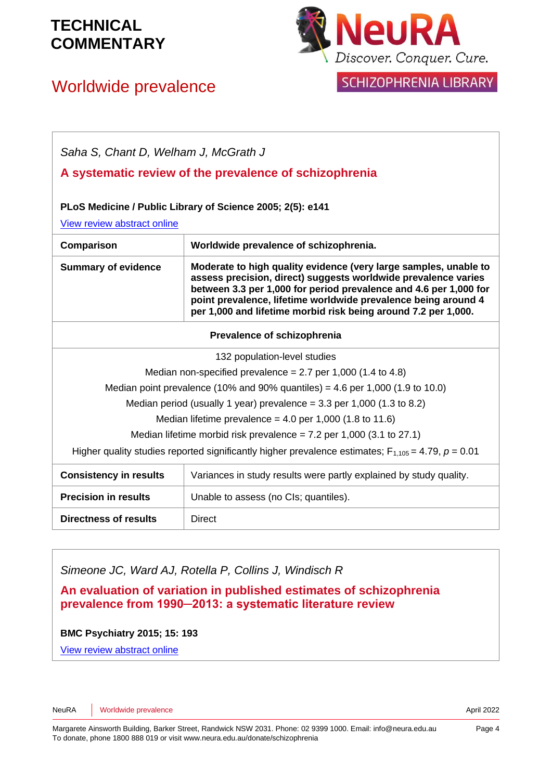### Worldwide prevalence



SCHIZOPHRENIA LIBRARY

| Saha S, Chant D, Welham J, McGrath J                                                                       |                                                                                                                                                                                                                                                                                                                                             |  |
|------------------------------------------------------------------------------------------------------------|---------------------------------------------------------------------------------------------------------------------------------------------------------------------------------------------------------------------------------------------------------------------------------------------------------------------------------------------|--|
|                                                                                                            | A systematic review of the prevalence of schizophrenia                                                                                                                                                                                                                                                                                      |  |
| PLoS Medicine / Public Library of Science 2005; 2(5): e141<br>View review abstract online                  |                                                                                                                                                                                                                                                                                                                                             |  |
| Comparison                                                                                                 | Worldwide prevalence of schizophrenia.                                                                                                                                                                                                                                                                                                      |  |
| <b>Summary of evidence</b>                                                                                 | Moderate to high quality evidence (very large samples, unable to<br>assess precision, direct) suggests worldwide prevalence varies<br>between 3.3 per 1,000 for period prevalence and 4.6 per 1,000 for<br>point prevalence, lifetime worldwide prevalence being around 4<br>per 1,000 and lifetime morbid risk being around 7.2 per 1,000. |  |
| Prevalence of schizophrenia                                                                                |                                                                                                                                                                                                                                                                                                                                             |  |
| 132 population-level studies                                                                               |                                                                                                                                                                                                                                                                                                                                             |  |
| Median non-specified prevalence = 2.7 per 1,000 (1.4 to 4.8)                                               |                                                                                                                                                                                                                                                                                                                                             |  |
| Median point prevalence (10% and 90% quantiles) = 4.6 per 1,000 (1.9 to 10.0)                              |                                                                                                                                                                                                                                                                                                                                             |  |
| Median period (usually 1 year) prevalence = $3.3$ per 1,000 (1.3 to 8.2)                                   |                                                                                                                                                                                                                                                                                                                                             |  |
| Median lifetime prevalence = $4.0$ per 1,000 (1.8 to 11.6)                                                 |                                                                                                                                                                                                                                                                                                                                             |  |
| Median lifetime morbid risk prevalence = $7.2$ per 1,000 (3.1 to 27.1)                                     |                                                                                                                                                                                                                                                                                                                                             |  |
| Higher quality studies reported significantly higher prevalence estimates; $F_{1,105} = 4.79$ , $p = 0.01$ |                                                                                                                                                                                                                                                                                                                                             |  |
| <b>Consistency in results</b>                                                                              | Variances in study results were partly explained by study quality.                                                                                                                                                                                                                                                                          |  |
| <b>Precision in results</b>                                                                                | Unable to assess (no Cls; quantiles).                                                                                                                                                                                                                                                                                                       |  |
| Directness of results                                                                                      | Direct                                                                                                                                                                                                                                                                                                                                      |  |

*Simeone JC, Ward AJ, Rotella P, Collins J, Windisch R*

**An evaluation of variation in published estimates of schizophrenia prevalence from 1990─2013: a systematic literature review**

**BMC Psychiatry 2015; 15: 193**

[View review abstract online](http://www.biomedcentral.com/1471-244X/15/193)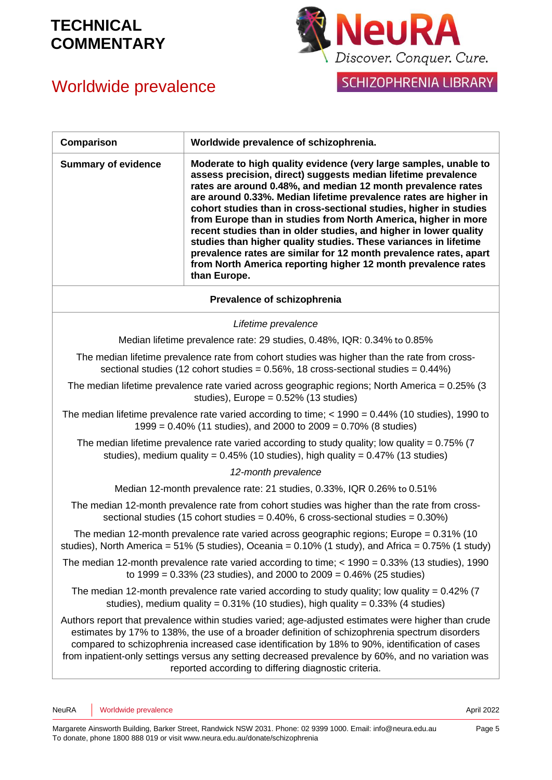# Worldwide prevalence



SCHIZOPHRENIA LIBRARY

| Comparison                  | Worldwide prevalence of schizophrenia.                                                                                                                                                                                                                                                                                                                                                                                                                                                                                                                                                                                                                                                                      |
|-----------------------------|-------------------------------------------------------------------------------------------------------------------------------------------------------------------------------------------------------------------------------------------------------------------------------------------------------------------------------------------------------------------------------------------------------------------------------------------------------------------------------------------------------------------------------------------------------------------------------------------------------------------------------------------------------------------------------------------------------------|
| <b>Summary of evidence</b>  | Moderate to high quality evidence (very large samples, unable to<br>assess precision, direct) suggests median lifetime prevalence<br>rates are around 0.48%, and median 12 month prevalence rates<br>are around 0.33%. Median lifetime prevalence rates are higher in<br>cohort studies than in cross-sectional studies, higher in studies<br>from Europe than in studies from North America, higher in more<br>recent studies than in older studies, and higher in lower quality<br>studies than higher quality studies. These variances in lifetime<br>prevalence rates are similar for 12 month prevalence rates, apart<br>from North America reporting higher 12 month prevalence rates<br>than Europe. |
| Prevalence of schizophrenia |                                                                                                                                                                                                                                                                                                                                                                                                                                                                                                                                                                                                                                                                                                             |
|                             | Lifetime prevalence                                                                                                                                                                                                                                                                                                                                                                                                                                                                                                                                                                                                                                                                                         |
|                             | Median lifetime prevalence rate: 29 studies, 0.48%, IQR: 0.34% to 0.85%                                                                                                                                                                                                                                                                                                                                                                                                                                                                                                                                                                                                                                     |
|                             | The median lifetime prevalence rate from cohort studies was higher than the rate from cross-<br>sectional studies (12 cohort studies = $0.56\%$ , 18 cross-sectional studies = $0.44\%$ )                                                                                                                                                                                                                                                                                                                                                                                                                                                                                                                   |
|                             | The median lifetime prevalence rate varied across geographic regions; North America = $0.25\%$ (3)<br>studies), Europe = $0.52\%$ (13 studies)                                                                                                                                                                                                                                                                                                                                                                                                                                                                                                                                                              |
|                             | The median lifetime prevalence rate varied according to time; $<$ 1990 = 0.44% (10 studies), 1990 to<br>$1999 = 0.40\%$ (11 studies), and 2000 to 2009 = 0.70% (8 studies)                                                                                                                                                                                                                                                                                                                                                                                                                                                                                                                                  |
|                             | The median lifetime prevalence rate varied according to study quality; low quality = $0.75\%$ (7)<br>studies), medium quality = $0.45\%$ (10 studies), high quality = $0.47\%$ (13 studies)                                                                                                                                                                                                                                                                                                                                                                                                                                                                                                                 |
|                             | 12-month prevalence                                                                                                                                                                                                                                                                                                                                                                                                                                                                                                                                                                                                                                                                                         |
|                             | Median 12-month prevalence rate: 21 studies, 0.33%, IQR 0.26% to 0.51%                                                                                                                                                                                                                                                                                                                                                                                                                                                                                                                                                                                                                                      |
|                             | The median 12-month prevalence rate from cohort studies was higher than the rate from cross-<br>sectional studies (15 cohort studies = $0.40\%$ , 6 cross-sectional studies = $0.30\%$ )                                                                                                                                                                                                                                                                                                                                                                                                                                                                                                                    |
|                             | The median 12-month prevalence rate varied across geographic regions; Europe = 0.31% (10<br>studies), North America = $51\%$ (5 studies), Oceania = $0.10\%$ (1 study), and Africa = $0.75\%$ (1 study)                                                                                                                                                                                                                                                                                                                                                                                                                                                                                                     |
|                             | The median 12-month prevalence rate varied according to time; $<$ 1990 = 0.33% (13 studies), 1990<br>to 1999 = 0.33% (23 studies), and 2000 to 2009 = 0.46% (25 studies)                                                                                                                                                                                                                                                                                                                                                                                                                                                                                                                                    |
|                             | The median 12-month prevalence rate varied according to study quality; low quality = $0.42\%$ (7)<br>studies), medium quality = $0.31\%$ (10 studies), high quality = $0.33\%$ (4 studies)                                                                                                                                                                                                                                                                                                                                                                                                                                                                                                                  |
|                             | Authors report that prevalence within studies varied; age-adjusted estimates were higher than crude<br>estimates by 17% to 138%, the use of a broader definition of schizophrenia spectrum disorders<br>compared to schizophrenia increased case identification by 18% to 90%, identification of cases<br>from inpatient-only settings versus any setting decreased prevalence by 60%, and no variation was<br>reported according to differing diagnostic criteria.                                                                                                                                                                                                                                         |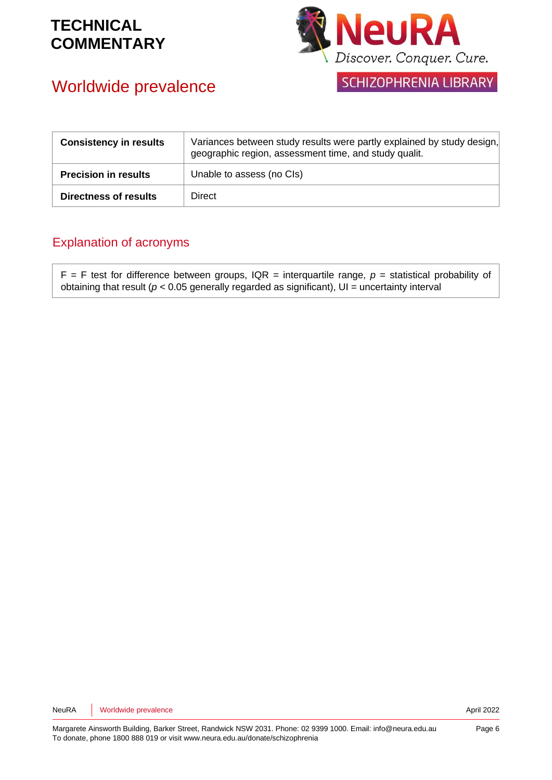

#### Worldwide prevalence

SCHIZOPHRENIA LIBRARY

| <b>Consistency in results</b> | Variances between study results were partly explained by study design,<br>geographic region, assessment time, and study qualit. |
|-------------------------------|---------------------------------------------------------------------------------------------------------------------------------|
| <b>Precision in results</b>   | Unable to assess (no Cls)                                                                                                       |
| <b>Directness of results</b>  | Direct                                                                                                                          |

#### Explanation of acronyms

 $F = F$  test for difference between groups, IQR = interquartile range,  $p =$  statistical probability of obtaining that result ( $p < 0.05$  generally regarded as significant),  $UI =$  uncertainty interval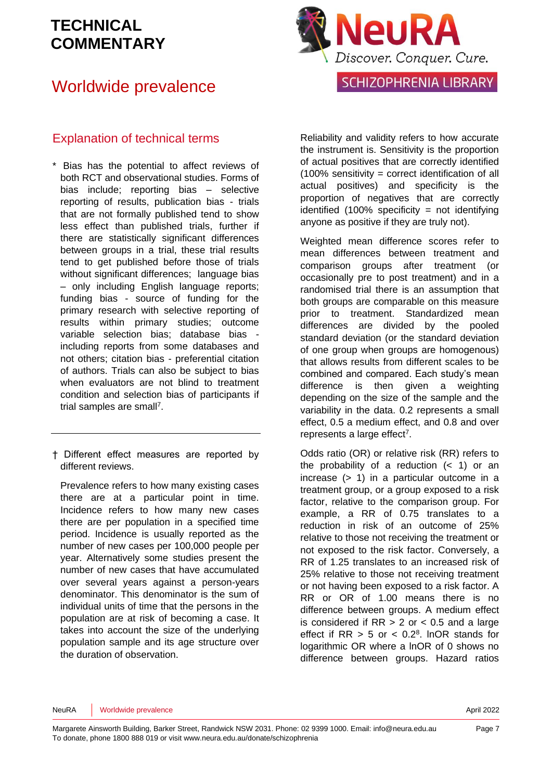#### Worldwide prevalence



#### Explanation of technical terms

- \* Bias has the potential to affect reviews of both RCT and observational studies. Forms of bias include; reporting bias – selective reporting of results, publication bias - trials that are not formally published tend to show less effect than published trials, further if there are statistically significant differences between groups in a trial, these trial results tend to get published before those of trials without significant differences; language bias – only including English language reports; funding bias - source of funding for the primary research with selective reporting of results within primary studies; outcome variable selection bias; database bias including reports from some databases and not others; citation bias - preferential citation of authors. Trials can also be subject to bias when evaluators are not blind to treatment condition and selection bias of participants if trial samples are sma[ll](#page-8-3)<sup>7</sup>.
- † Different effect measures are reported by different reviews.

Prevalence refers to how many existing cases there are at a particular point in time. Incidence refers to how many new cases there are per population in a specified time period. Incidence is usually reported as the number of new cases per 100,000 people per year. Alternatively some studies present the number of new cases that have accumulated over several years against a person-years denominator. This denominator is the sum of individual units of time that the persons in the population are at risk of becoming a case. It takes into account the size of the underlying population sample and its age structure over the duration of observation.

Reliability and validity refers to how accurate the instrument is. Sensitivity is the proportion of actual positives that are correctly identified  $(100\%$  sensitivity = correct identification of all actual positives) and specificity is the proportion of negatives that are correctly identified  $(100\%$  specificity = not identifying anyone as positive if they are truly not).

Weighted mean difference scores refer to mean differences between treatment and comparison groups after treatment (or occasionally pre to post treatment) and in a randomised trial there is an assumption that both groups are comparable on this measure prior to treatment. Standardized mean differences are divided by the pooled standard deviation (or the standard deviation of one group when groups are homogenous) that allows results from different scales to be combined and compared. Each study's mean difference is then given a weighting depending on the size of the sample and the variability in the data. 0.2 represents a small effect, 0.5 a medium effect, and 0.8 and over represents a large effect<sup>[7](#page-8-3)</sup>.

Odds ratio (OR) or relative risk (RR) refers to the probability of a reduction  $($   $<$  1) or an increase (> 1) in a particular outcome in a treatment group, or a group exposed to a risk factor, relative to the comparison group. For example, a RR of 0.75 translates to a reduction in risk of an outcome of 25% relative to those not receiving the treatment or not exposed to the risk factor. Conversely, a RR of 1.25 translates to an increased risk of 25% relative to those not receiving treatment or not having been exposed to a risk factor. A RR or OR of 1.00 means there is no difference between groups. A medium effect is considered if  $RR > 2$  or  $< 0.5$  and a large effect if  $RR > 5$  or  $< 0.2<sup>8</sup>$  $< 0.2<sup>8</sup>$  $< 0.2<sup>8</sup>$ . InOR stands for logarithmic OR where a lnOR of 0 shows no difference between groups. Hazard ratios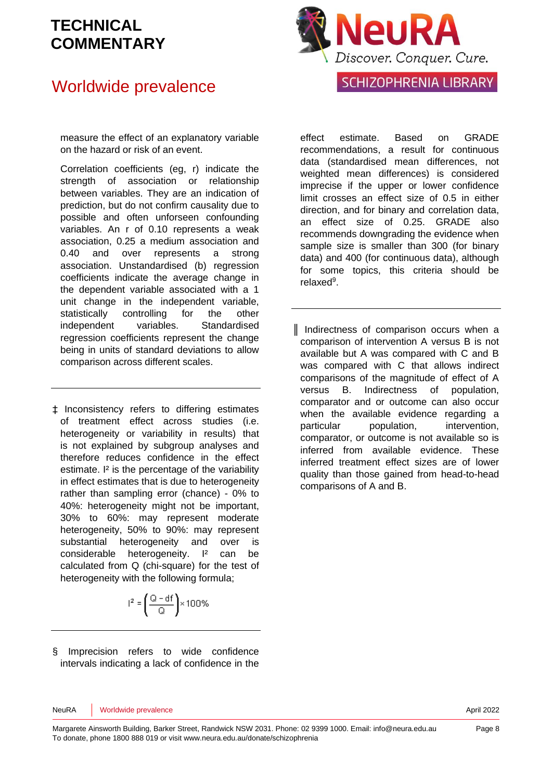#### Worldwide prevalence



measure the effect of an explanatory variable on the hazard or risk of an event.

Correlation coefficients (eg, r) indicate the strength of association or relationship between variables. They are an indication of prediction, but do not confirm causality due to possible and often unforseen confounding variables. An r of 0.10 represents a weak association, 0.25 a medium association and 0.40 and over represents a strong association. Unstandardised (b) regression coefficients indicate the average change in the dependent variable associated with a 1 unit change in the independent variable, statistically controlling for the other independent variables. Standardised regression coefficients represent the change being in units of standard deviations to allow comparison across different scales.

‡ Inconsistency refers to differing estimates of treatment effect across studies (i.e. heterogeneity or variability in results) that is not explained by subgroup analyses and therefore reduces confidence in the effect estimate. I<sup>2</sup> is the percentage of the variability in effect estimates that is due to heterogeneity rather than sampling error (chance) - 0% to 40%: heterogeneity might not be important, 30% to 60%: may represent moderate heterogeneity, 50% to 90%: may represent substantial heterogeneity and over is considerable heterogeneity. I² can be calculated from Q (chi-square) for the test of heterogeneity with the following formula;

$$
I^2 = \left(\frac{Q - df}{Q}\right) \times 100\%
$$

§ Imprecision refers to wide confidence intervals indicating a lack of confidence in the

effect estimate. Based on GRADE recommendations, a result for continuous data (standardised mean differences, not weighted mean differences) is considered imprecise if the upper or lower confidence limit crosses an effect size of 0.5 in either direction, and for binary and correlation data, an effect size of 0.25. GRADE also recommends downgrading the evidence when sample size is smaller than 300 (for binary data) and 400 (for continuous data), although for some topics, this criteria should be relaxe[d](#page-8-5)<sup>9</sup>.

║ Indirectness of comparison occurs when a comparison of intervention A versus B is not available but A was compared with C and B was compared with C that allows indirect comparisons of the magnitude of effect of A versus B. Indirectness of population, comparator and or outcome can also occur when the available evidence regarding a particular population, intervention, comparator, or outcome is not available so is inferred from available evidence. These inferred treatment effect sizes are of lower quality than those gained from head-to-head comparisons of A and B.

NeuRA Worldwide prevalence **April 2022**